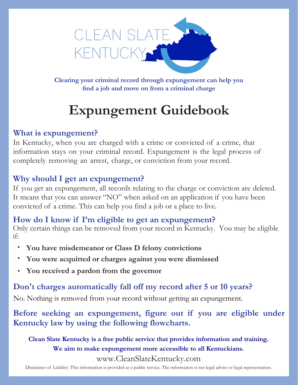

**Clearing your criminal record through expungement can help you find a job and move on from a criminal charge**

# **Expungement Guidebook**

# **What is expungement?**

In Kentucky, when you are charged with a crime or convicted of a crime, that information stays on your criminal record. Expungement is the legal process of completely removing an arrest, charge, or conviction from your record.

## **Why should I get an expungement?**

If you get an expungement, all records relating to the charge or conviction are deleted. It means that you can answer "NO" when asked on an application if you have been convicted of a crime. This can help you find a job or a place to live.

### **How do I know if I'm eligible to get an expungement?**

Only certain things can be removed from your record in Kentucky. You may be eligible if:

- **You have misdemeanor or Class D felony convictions**
- **You were acquitted or charges against you were dismissed**
- **You received a pardon from the governor**

# **Don't charges automatically fall off my record after 5 or 10 years?**

No. Nothing is removed from your record without getting an expungement.

**Before seeking an expungement, figure out if you are eligible under Kentucky law by using the following flowcharts.**

**Clean Slate Kentucky is a free public service that provides information and training. We aim to make expungement more accessible to all Kentuckians.** www.CleanSlateKentucky.com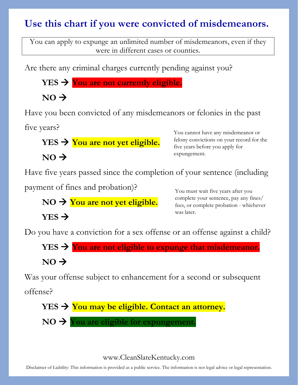# **Use this chart if you were convicted of misdemeanors.**

You can apply to expunge an unlimited number of misdemeanors, even if they were in different cases or counties.

Are there any criminal charges currently pending against you?

**YES You are not currently eligible.** 

 $NO \rightarrow$ 

Have you been convicted of any misdemeanors or felonies in the past

five years?

**YES → You are not yet eligible.** 

 $NO \rightarrow$ 

You cannot have any misdemeanor or felony convictions on your record for the five years before you apply for expungement.

Have five years passed since the completion of your sentence (including

payment of fines and probation)?

NO → You are not yet eligible.

# $YES \rightarrow$

You must wait five years after you complete your sentence, pay any fines/ fees, or complete probation - whichever was later.

Do you have a conviction for a sex offense or an offense against a child?

$$
YES \rightarrow \text{You are not eligible to expunge that misdemeanor.}
$$

# $NO \rightarrow$

Was your offense subject to enhancement for a second or subsequent

offense?

$$
YES \rightarrow \text{You may be eligible. Contact an attempt.}
$$

**NO You are eligible for expungement.** 

## www.CleanSlateKentucky.com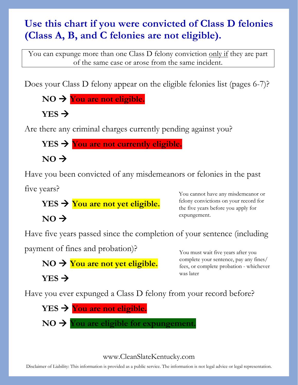# **Use this chart if you were convicted of Class D felonies (Class A, B, and C felonies are not eligible).**

You can expunge more than one Class D felony conviction only if they are part of the same case or arose from the same incident.

Does your Class D felony appear on the eligible felonies list (pages 6-7)?

**NO → You are not eligible.** 

 $YES \rightarrow$ 

Are there any criminal charges currently pending against you?

**YES You are not currently eligible.** 

 $NO \rightarrow$ 

 $NO \rightarrow$ 

Have you been convicted of any misdemeanors or felonies in the past

five years?

**YES You are not yet eligible.** 

You cannot have any misdemeanor or felony convictions on your record for the five years before you apply for expungement.

Have five years passed since the completion of your sentence (including

payment of fines and probation)?

NO → You are not yet eligible.

 $YES \rightarrow$ 

You must wait five years after you complete your sentence, pay any fines/ fees, or complete probation - whichever was later

Have you ever expunged a Class D felony from your record before?

 $YES$   $\rightarrow$  You are not eligible.  $NO \rightarrow You$  are eligible for expungement.

# www.CleanSlateKentucky.com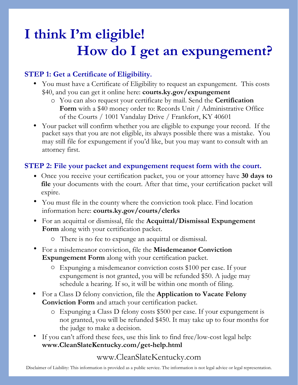# **I think I'm eligible! How do I get an expungement?**

## **STEP 1: Get a Certificate of Eligibility.**

- You must have a Certificate of Eligibility to request an expungement. This costs \$40, and you can get it online here: **courts.ky.gov/expungement**
	- o You can also request your certificate by mail. Send the **Certification Form** with a \$40 money order to: Records Unit / Administrative Office of the Courts / 1001 Vandalay Drive / Frankfort, KY 40601
- Your packet will confirm whether you are eligible to expunge your record. If the packet says that you are not eligible, its always possible there was a mistake. You may still file for expungement if you'd like, but you may want to consult with an attorney first.

### **STEP 2: File your packet and expungement request form with the court.**

- Once you receive your certification packet, you or your attorney have **30 days to file** your documents with the court. After that time, your certification packet will expire.
- You must file in the county where the conviction took place. Find location information here: **courts.ky.gov/courts/clerks**
- For an acquittal or dismissal, file the **Acquittal/Dismissal Expungement Form** along with your certification packet.
	- o There is no fee to expunge an acquittal or dismissal.
- For a misdemeanor conviction, file the **Misdemeanor Conviction Expungement Form** along with your certification packet.
	- o Expunging a misdemeanor conviction costs \$100 per case. If your expungement is not granted, you will be refunded \$50. A judge may schedule a hearing. If so, it will be within one month of filing.
- For a Class D felony conviction, file the **Application to Vacate Felony Conviction Form** and attach your certification packet.
	- o Expunging a Class D felony costs \$500 per case. If your expungement is not granted, you will be refunded \$450. It may take up to four months for the judge to make a decision.
- If you can't afford these fees, use this link to find free/low-cost legal help: **www.CleanSlateKentucky.com/get-help.html**

## www.CleanSlateKentucky.com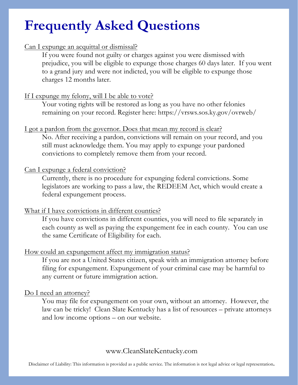# **Frequently Asked Questions**

### Can I expunge an acquittal or dismissal?

If you were found not guilty or charges against you were dismissed with prejudice, you will be eligible to expunge those charges 60 days later. If you went to a grand jury and were not indicted, you will be eligible to expunge those charges 12 months later.

### If I expunge my felony, will I be able to vote?

Your voting rights will be restored as long as you have no other felonies remaining on your record. Register here: https://vrsws.sos.ky.gov/ovrweb/

#### I got a pardon from the governor. Does that mean my record is clear?

No. After receiving a pardon, convictions will remain on your record, and you still must acknowledge them. You may apply to expunge your pardoned convictions to completely remove them from your record.

### Can I expunge a federal conviction?

Currently, there is no procedure for expunging federal convictions. Some legislators are working to pass a law, the REDEEM Act, which would create a federal expungement process.

### What if I have convictions in different counties?

If you have convictions in different counties, you will need to file separately in each county as well as paying the expungement fee in each county. You can use the same Certificate of Eligibility for each.

### How could an expungement affect my immigration status?

If you are not a United States citizen, speak with an immigration attorney before filing for expungement. Expungement of your criminal case may be harmful to any current or future immigration action.

### Do I need an attorney?

You may file for expungement on your own, without an attorney. However, the law can be tricky! Clean Slate Kentucky has a list of resources – private attorneys and low income options – on our website.

### www.CleanSlateKentucky.com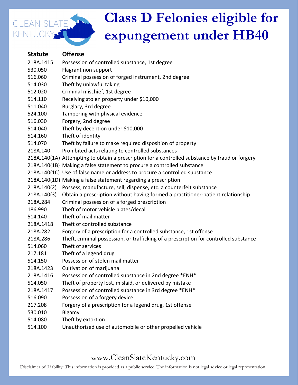

#### **Statute Offense**

| 218A.1415   | Possession of controlled substance, 1st degree                                                  |
|-------------|-------------------------------------------------------------------------------------------------|
| 530.050     | Flagrant non support                                                                            |
| 516.060     | Criminal possession of forged instrument, 2nd degree                                            |
| 514.030     | Theft by unlawful taking                                                                        |
| 512.020     | Criminal mischief, 1st degree                                                                   |
| 514.110     | Receiving stolen property under \$10,000                                                        |
| 511.040     | Burglary, 3rd degree                                                                            |
| 524.100     | Tampering with physical evidence                                                                |
| 516.030     | Forgery, 2nd degree                                                                             |
| 514.040     | Theft by deception under \$10,000                                                               |
| 514.160     | Theft of identity                                                                               |
| 514.070     | Theft by failure to make required disposition of property                                       |
| 218A.140    | Prohibited acts relating to controlled substances                                               |
|             | 218A.140(1A) Attempting to obtain a prescription for a controlled substance by fraud or forgery |
|             | 218A.140(1B) Making a false statement to procure a controlled substance                         |
|             | 218A.140(1C) Use of false name or address to procure a controlled substance                     |
|             | 218A.140(1D) Making a false statement regarding a prescription                                  |
| 218A.140(2) | Possess, manufacture, sell, dispense, etc. a counterfeit substance                              |
| 218A.140(3) | Obtain a prescription without having formed a practitioner-patient relationship                 |
| 218A.284    | Criminal possession of a forged prescription                                                    |
| 186.990     | Theft of motor vehicle plates/decal                                                             |
| 514.140     | Theft of mail matter                                                                            |
| 218A.1418   | Theft of controlled substance                                                                   |
| 218A.282    | Forgery of a prescription for a controlled substance, 1st offense                               |
| 218A.286    | Theft, criminal possession, or trafficking of a prescription for controlled substance           |
| 514.060     | Theft of services                                                                               |
| 217.181     | Theft of a legend drug                                                                          |
| 514.150     | Possession of stolen mail matter                                                                |
| 218A.1423   | Cultivation of marijuana                                                                        |
| 218A.1416   | Possession of controlled substance in 2nd degree *ENH*                                          |
| 514.050     | Theft of property lost, mislaid, or delivered by mistake                                        |
| 218A.1417   | Possession of controlled substance in 3rd degree *ENH*                                          |
| 516.090     | Possession of a forgery device                                                                  |
| 217.208     | Forgery of a prescription for a legend drug, 1st offense                                        |
| 530.010     | <b>Bigamy</b>                                                                                   |
| 514.080     | Theft by extortion                                                                              |
| 514.100     | Unauthorized use of automobile or other propelled vehicle                                       |

## www.CleanSlateKentucky.com